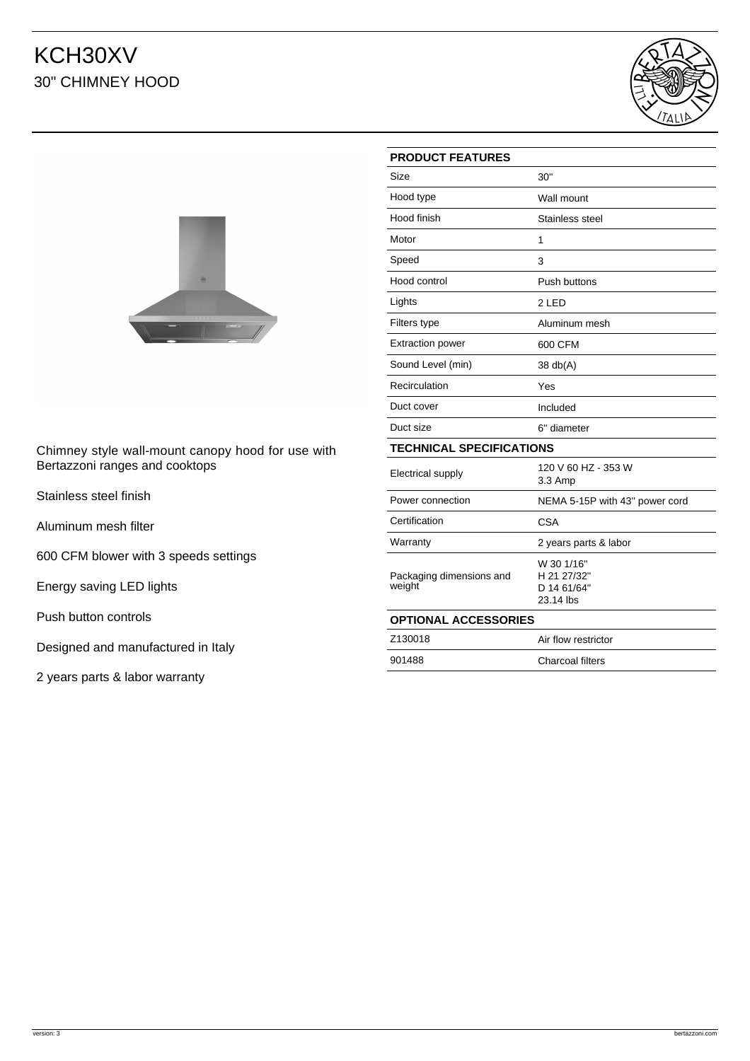## KCH30XV 30" CHIMNEY HOOD





Chimney style wall-mount canopy hood for use with Bertazzoni ranges and cooktops

Stainless steel finish

Aluminum mesh filter

600 CFM blower with 3 speeds settings

Energy saving LED lights

Push button controls

Designed and manufactured in Italy

2 years parts & labor warranty

| <b>PRODUCT FEATURES</b>            |                                                       |
|------------------------------------|-------------------------------------------------------|
| Size                               | 30"                                                   |
| Hood type                          | Wall mount                                            |
| Hood finish                        | Stainless steel                                       |
| Motor                              | 1                                                     |
| Speed                              | 3                                                     |
| Hood control                       | Push buttons                                          |
| Lights                             | 2 LED                                                 |
| Filters type                       | Aluminum mesh                                         |
| <b>Extraction power</b>            | 600 CFM                                               |
| Sound Level (min)                  | 38 db(A)                                              |
| Recirculation                      | Yes                                                   |
| Duct cover                         | Included                                              |
| Duct size                          | 6" diameter                                           |
| <b>TECHNICAL SPECIFICATIONS</b>    |                                                       |
| <b>Electrical supply</b>           | 120 V 60 HZ - 353 W<br>3.3 Amp                        |
| Power connection                   | NEMA 5-15P with 43" power cord                        |
| Certification                      | <b>CSA</b>                                            |
| Warranty                           | 2 years parts & labor                                 |
| Packaging dimensions and<br>weight | W 30 1/16"<br>H 21 27/32"<br>D 14 61/64"<br>23.14 lbs |
| <b>OPTIONAL ACCESSORIES</b>        |                                                       |
| Z130018                            | Air flow restrictor                                   |
| 901488                             | Charcoal filters                                      |